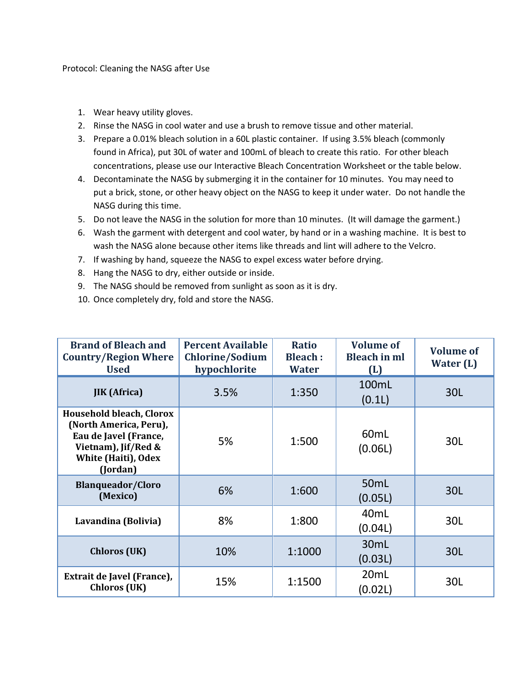- 1. Wear heavy utility gloves.
- 2. Rinse the NASG in cool water and use a brush to remove tissue and other material.
- 3. Prepare a 0.01% bleach solution in a 60L plastic container. If using 3.5% bleach (commonly found in Africa), put 30L of water and 100mL of bleach to create this ratio. For other bleach concentrations, please use our Interactive Bleach Concentration Worksheet or the table below.
- 4. Decontaminate the NASG by submerging it in the container for 10 minutes. You may need to put a brick, stone, or other heavy object on the NASG to keep it under water. Do not handle the NASG during this time.
- 5. Do not leave the NASG in the solution for more than 10 minutes. (It will damage the garment.)
- 6. Wash the garment with detergent and cool water, by hand or in a washing machine. It is best to wash the NASG alone because other items like threads and lint will adhere to the Velcro.
- 7. If washing by hand, squeeze the NASG to expel excess water before drying.
- 8. Hang the NASG to dry, either outside or inside.
- 9. The NASG should be removed from sunlight as soon as it is dry.
- 10. Once completely dry, fold and store the NASG.

| <b>Brand of Bleach and</b><br><b>Country/Region Where</b><br><b>Used</b>                                                                     | <b>Percent Available</b><br><b>Chlorine/Sodium</b><br>hypochlorite | <b>Ratio</b><br><b>Bleach:</b><br><b>Water</b> | <b>Volume of</b><br><b>Bleach in ml</b><br>(L) | <b>Volume of</b><br>Water (L) |
|----------------------------------------------------------------------------------------------------------------------------------------------|--------------------------------------------------------------------|------------------------------------------------|------------------------------------------------|-------------------------------|
| <b>JIK</b> (Africa)                                                                                                                          | 3.5%                                                               | 1:350                                          | 100mL<br>(0.1L)                                | 30L                           |
| <b>Household bleach, Clorox</b><br>(North America, Peru),<br>Eau de Javel (France,<br>Vietnam), Jif/Red &<br>White (Haiti), Odex<br>(Jordan) | 5%                                                                 | 1:500                                          | 60 <sub>mL</sub><br>(0.06L)                    | 30L                           |
| <b>Blanqueador/Cloro</b><br>(Mexico)                                                                                                         | 6%                                                                 | 1:600                                          | 50 <sub>mL</sub><br>(0.05L)                    | 30L                           |
| Lavandina (Bolivia)                                                                                                                          | 8%                                                                 | 1:800                                          | 40 <sub>mL</sub><br>(0.04L)                    | 30L                           |
| <b>Chloros (UK)</b>                                                                                                                          | 10%                                                                | 1:1000                                         | 30 <sub>mL</sub><br>(0.03L)                    | 30L                           |
| Extrait de Javel (France),<br><b>Chloros (UK)</b>                                                                                            | 15%                                                                | 1:1500                                         | 20 <sub>mL</sub><br>(0.02L)                    | 30L                           |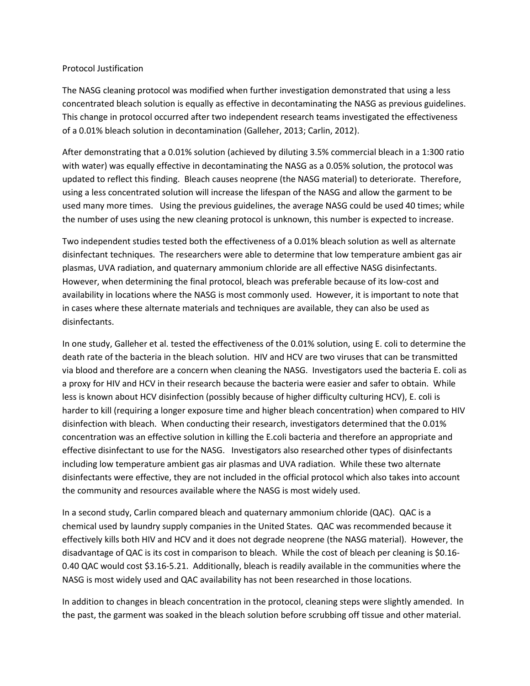## Protocol Justification

The NASG cleaning protocol was modified when further investigation demonstrated that using a less concentrated bleach solution is equally as effective in decontaminating the NASG as previous guidelines. This change in protocol occurred after two independent research teams investigated the effectiveness of a 0.01% bleach solution in decontamination (Galleher, 2013; Carlin, 2012).

After demonstrating that a 0.01% solution (achieved by diluting 3.5% commercial bleach in a 1:300 ratio with water) was equally effective in decontaminating the NASG as a 0.05% solution, the protocol was updated to reflect this finding. Bleach causes neoprene (the NASG material) to deteriorate. Therefore, using a less concentrated solution will increase the lifespan of the NASG and allow the garment to be used many more times. Using the previous guidelines, the average NASG could be used 40 times; while the number of uses using the new cleaning protocol is unknown, this number is expected to increase.

Two independent studies tested both the effectiveness of a 0.01% bleach solution as well as alternate disinfectant techniques. The researchers were able to determine that low temperature ambient gas air plasmas, UVA radiation, and quaternary ammonium chloride are all effective NASG disinfectants. However, when determining the final protocol, bleach was preferable because of its low-cost and availability in locations where the NASG is most commonly used. However, it is important to note that in cases where these alternate materials and techniques are available, they can also be used as disinfectants.

In one study, Galleher et al. tested the effectiveness of the 0.01% solution, using E. coli to determine the death rate of the bacteria in the bleach solution. HIV and HCV are two viruses that can be transmitted via blood and therefore are a concern when cleaning the NASG. Investigators used the bacteria E. coli as a proxy for HIV and HCV in their research because the bacteria were easier and safer to obtain. While less is known about HCV disinfection (possibly because of higher difficulty culturing HCV), E. coli is harder to kill (requiring a longer exposure time and higher bleach concentration) when compared to HIV disinfection with bleach. When conducting their research, investigators determined that the 0.01% concentration was an effective solution in killing the E.coli bacteria and therefore an appropriate and effective disinfectant to use for the NASG. Investigators also researched other types of disinfectants including low temperature ambient gas air plasmas and UVA radiation. While these two alternate disinfectants were effective, they are not included in the official protocol which also takes into account the community and resources available where the NASG is most widely used.

In a second study, Carlin compared bleach and quaternary ammonium chloride (QAC). QAC is a chemical used by laundry supply companies in the United States. QAC was recommended because it effectively kills both HIV and HCV and it does not degrade neoprene (the NASG material). However, the disadvantage of QAC is its cost in comparison to bleach. While the cost of bleach per cleaning is \$0.16- 0.40 QAC would cost \$3.16-5.21. Additionally, bleach is readily available in the communities where the NASG is most widely used and QAC availability has not been researched in those locations.

In addition to changes in bleach concentration in the protocol, cleaning steps were slightly amended. In the past, the garment was soaked in the bleach solution before scrubbing off tissue and other material.